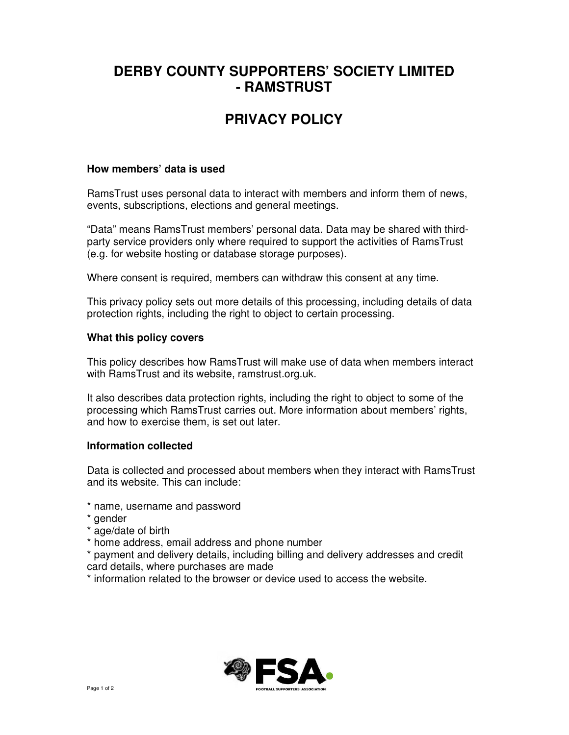# **DERBY COUNTY SUPPORTERS' SOCIETY LIMITED - RAMSTRUST**

# **PRIVACY POLICY**

## **How members' data is used**

RamsTrust uses personal data to interact with members and inform them of news, events, subscriptions, elections and general meetings.

"Data" means RamsTrust members' personal data. Data may be shared with thirdparty service providers only where required to support the activities of RamsTrust (e.g. for website hosting or database storage purposes).

Where consent is required, members can withdraw this consent at any time.

This privacy policy sets out more details of this processing, including details of data protection rights, including the right to object to certain processing.

## **What this policy covers**

This policy describes how RamsTrust will make use of data when members interact with RamsTrust and its website, ramstrust.org.uk.

It also describes data protection rights, including the right to object to some of the processing which RamsTrust carries out. More information about members' rights, and how to exercise them, is set out later.

## **Information collected**

Data is collected and processed about members when they interact with RamsTrust and its website. This can include:

- \* name, username and password
- \* gender
- \* age/date of birth
- \* home address, email address and phone number

\* payment and delivery details, including billing and delivery addresses and credit card details, where purchases are made

\* information related to the browser or device used to access the website.